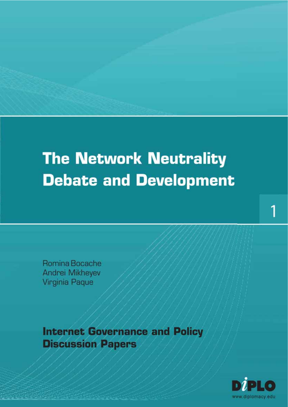## **The Network Neutrality Debate and Development**

Romina Bocache Andrei Mikheyev Virginia Paque

**Internet Governance and Policy Discussion Papers** 

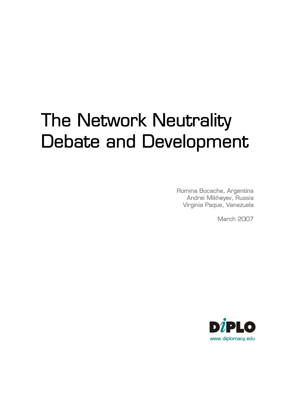# The Network Neutrality Debate and Development

Romina Bocache, Argentina Andrei Mikheyev, Russia Virginia Paque, Venezuela

March 2007

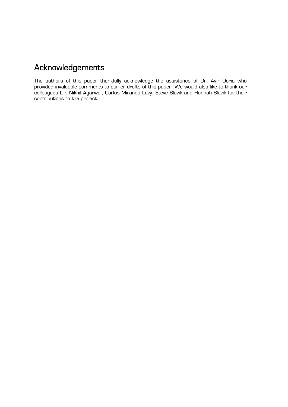## Acknowledgements

The authors of this paper thankfully acknowledge the assistance of Dr. Avri Doria who provided invaluable comments to earlier drafts of this paper. We would also like to thank our colleagues Dr. Nikhil Agarwal, Carlos Miranda Levy, Steve Slavik and Hannah Slavik for their contributions to the project.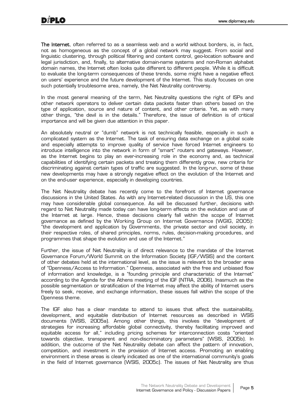The Internet, often referred to as a seamless web and a world without borders, is, in fact, not as homogeneous as the concept of a global network may suggest. From social and linguistic clustering, through political filtering and content control, geo-location software and legal jurisdiction, and, finally, to alternative domain-name systems and non-Roman alphabet domain names, the Internet often looks quite different to different people. While it is difficult to evaluate the long-term consequences of these trends, some might have a negative effect on users' experience and the future development of the Internet. This study focuses on one such potentially troublesome area, namely, the Net Neutrality controversy.

In the most general meaning of the term, Net Neutrality questions the right of ISPs and other network operators to deliver certain data packets faster than others based on the type of application, source and nature of content, and other criteria. Yet, as with many other things, "the devil is in the details." Therefore, the issue of definition is of critical importance and will be given due attention in this paper.

An absolutely neutral or "dumb" network is not technically feasible, especially in such a complicated system as the Internet. The task of ensuring data exchange on a global scale and especially attempts to improve quality of service have forced Internet engineers to introduce intelligence into the network in form of "smart" routers and gateways. However, as the Internet begins to play an ever-increasing role in the economy and, as technical capabilities of identifying certain packets and treating them differently grow, new criteria for discriminating against certain types of traffic are suggested. In the long-run, some of these new developments may have a strongly negative effect on the evolution of the Internet and on the end-user experience, especially in developing countries.

The Net Neutrality debate has recently come to the forefront of Internet governance discussions in the United States. As with any Internet-related discussion in the US, this one may have considerable global consequence. As will be discussed further, decisions with regard to Net Neutrality made today can have long-term effects on the evolution and use of the Internet at large. Hence, these decisions clearly fall within the scope of Internet governance as defined by the Working Group on Internet Governance (WGIG, 2005): "the development and application by Governments, the private sector and civil society, in their respective roles, of shared principles, norms, rules, decision-making procedures, and programmes that shape the evolution and use of the Internet."

Further, the issue of Net Neutrality is of direct relevance to the mandate of the Internet Governance Forum/World Summit on the Information Society (IGF/WSIS) and the content of other debates held at the international level, as the issue is relevant to the broader area of "Openness/Access to Information." Openness, associated with the free and unbiased flow of information and knowledge, is a "founding principle and characteristic of the Internet" according to the Agenda for the Athens meeting of the IGF (NTRA, 2006). Inasmuch as the possible segmentation or stratification of the Internet may affect the ability of Internet users freely to seek, receive, and exchange information, these issues fall within the scope of the Openness theme.

The IGF also has a clear mandate to attend to issues that affect the sustainability, development, and equitable distribution of Internet resources as described in WSIS documents (WSIS, 2005a). Among other things, this involves the "development of strategies for increasing affordable global connectivity, thereby facilitating improved and equitable access for all," including pricing schemes for interconnection costs "oriented towards objective, transparent and non-discriminatory parameters" (WSIS, 2005b). In addition, the outcome of the Net Neutrality debate can affect the pattern of innovation, competition, and investment in the provision of Internet access. Promoting an enabling environment in these areas is clearly indicated as one of the international community's goals in the field of Internet governance (WSIS, 2005c). The issues of Net Neutrality are thus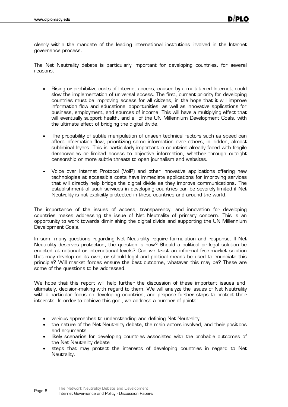clearly within the mandate of the leading international institutions involved in the Internet governance process.

The Net Neutrality debate is particularly important for developing countries, for several reasons.

- Rising or prohibitive costs of Internet access, caused by a multi-tiered Internet, could slow the implementation of universal access. The first, current priority for developing countries must be improving access for all citizens, in the hope that it will improve information flow and educational opportunities, as well as innovative applications for business, employment, and sources of income. This will have a multiplying effect that will eventually support health, and all of the UN Millennium Development Goals, with the ultimate effect of bridging the digital divide.
- The probability of subtle manipulation of unseen technical factors such as speed can affect information flow, prioritizing some information over others, in hidden, almost subliminal layers. This is particularly important in countries already faced with fragile democracies or limited access to objective information, whether through outright censorship or more subtle threats to open journalism and websites.
- Voice over Internet Protocol (VoIP) and other innovative applications offering new technologies at accessible costs have immediate applications for improving services that will directly help bridge the digital divide as they improve communications. The establishment of such services in developing countries can be severely limited if Net Neutrality is not explicitly protected in these countries and around the world.

The importance of the issues of access, transparency, and innovation for developing countries makes addressing the issue of Net Neutrality of primary concern. This is an opportunity to work towards diminishing the digital divide and supporting the UN Millennium Development Goals.

In sum, many questions regarding Net Neutrality require formulation and response. If Net Neutrality deserves protection, the question is how? Should a political or legal solution be enacted at national or international levels? Can we trust an informal free-market solution that may develop on its own, or should legal and political means be used to enunciate this principle? Will market forces ensure the best outcome, whatever this may be? These are some of the questions to be addressed.

We hope that this report will help further the discussion of these important issues and, ultimately, decision-making with regard to them. We will analyze the issues of Net Neutrality with a particular focus on developing countries, and propose further steps to protect their interests. In order to achieve this goal, we address a number of points:

- various approaches to understanding and defining Net Neutrality
- the nature of the Net Neutrality debate, the main actors involved, and their positions and arguments
- likely scenarios for developing countries associated with the probable outcomes of the Net Neutrality debate
- steps that may protect the interests of developing countries in regard to Net Neutrality.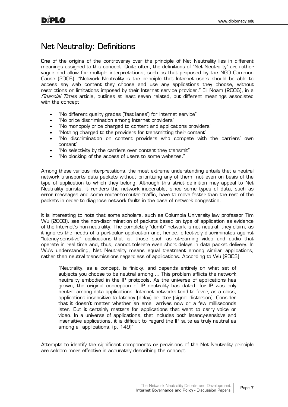#### Net Neutrality: Definitions

**One** of the origins of the controversy over the principle of Net Neutrality lies in different meanings assigned to this concept. Quite often, the definitions of "Net Neutrality" are rather vague and allow for multiple interpretations, such as that proposed by the NGO Common Cause (2006): "Network Neutrality is the principle that Internet users should be able to access any web content they choose and use any applications they choose, without restrictions or limitations imposed by their Internet service provider." Eli Noam (2006), in a Financial Times article, outlines at least seven related, but different meanings associated with the concept:

- "No different quality grades ('fast lanes') for Internet service"
- "No price discrimination among Internet providers"
- "No monopoly price charged to content and applications providers"
- "Nothing charged to the providers for transmitting their content"
- "No discrimination on content providers who compete with the carriers' own content"
- "No selectivity by the carriers over content they transmit"
- "No blocking of the access of users to some websites."

Among these various interpretations, the most extreme understanding entails that a neutral network transports data packets without prioritizing any of them, not even on basis of the type of application to which they belong. Although this strict definition may appeal to Net Neutrality purists, it renders the network inoperable, since some types of data, such as error messages and some router-to-router traffic, have to move faster than the rest of the packets in order to diagnose network faults in the case of network congestion.

It is interesting to note that some scholars, such as Columbia University law professor Tim Wu (2003), see the non-discrimination of packets based on type of application as evidence of the Internet's non-neutrality. The completely "dumb" network is not neutral, they claim, as it ignores the needs of a particular application and, hence, effectively discriminates against "latency-sensitive" applications--that is, those such as streaming video and audio that operate in real time and, thus, cannot tolerate even short delays in data packet delivery. In Wu's understanding, Net Neutrality means equal treatment among similar applications, rather than neutral transmissions regardless of applications. According to Wu (2003),

"Neutrality, as a concept, is finicky, and depends entirely on what set of subjects you choose to be neutral among…. This problem afflicts the network neutrality embodied in the IP protocols. As the universe of applications has grown, the original conception of IP neutrality has dated: for IP was only neutral among data applications. Internet networks tend to favor, as a class, applications insensitive to latency (delay) or jitter (signal distortion). Consider that it doesn't matter whether an email arrives now or a few milliseconds later. But it certainly matters for applications that want to carry voice or video. In a universe of applications, that includes both latency-sensitive and insensitive applications, it is difficult to regard the IP suite as truly neutral as among all applications. (p. 149)"

Attempts to identify the significant components or provisions of the Net Neutrality principle are seldom more effective in accurately describing the concept.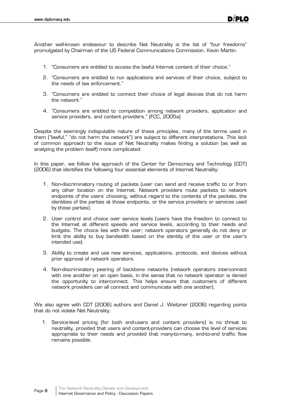Another well-known endeavour to describe Net Neutrality is the list of "four freedoms" promulgated by Chairman of the US Federal Communications Commission, Kevin Martin.

- 1. "Consumers are entitled to access the lawful Internet content of their choice."
- 2. "Consumers are entitled to run applications and services of their choice, subject to the needs of law enforcement."
- 3. "Consumers are entitled to connect their choice of legal devices that do not harm the network."
- 4. "Consumers are entitled to competition among network providers, application and service providers, and content providers." (FCC, 2005a)

Despite the seemingly indisputable nature of these principles, many of the terms used in them ("lawful," "do not harm the network") are subject to different interpretations. This lack of common approach to the issue of Net Neutrality makes finding a solution (as well as analyzing the problem itself) more complicated.

In this paper, we follow the approach of the Center for Democracy and Technology (CDT) (2006) that identifies the following four essential elements of Internet Neutrality:

- 1. Non-discriminatory routing of packets (user can send and receive traffic to or from any other location on the Internet. Network providers route packets to network endpoints of the users' choosing, without regard to the contents of the packets, the identities of the parties at those endpoints, or the service providers or services used by those parties).
- 2. User control and choice over service levels (users have the freedom to connect to the Internet at different speeds and service levels, according to their needs and budgets. The choice lies with the user; network operators generally do not deny or limit the ability to buy bandwidth based on the identity of the user or the user's intended use).
- 3. Ability to create and use new services, applications, protocols, and devices without prior approval of network operators.
- 4. Non-discriminatory peering of backbone networks (network operators interconnect with one another on an open basis, in the sense that no network operator is denied the opportunity to interconnect. This helps ensure that customers of different network providers can all connect and communicate with one another).

We also agree with CDT (2006) authors and Daniel J. Weitzner (2006) regarding points that do not violate Net Neutrality:

1. Service-level pricing (for both end-users and content providers) is no threat to neutrality, provided that users and content-providers can choose the level of services appropriate to their needs and provided that many-to-many, end-to-end traffic flow remains possible.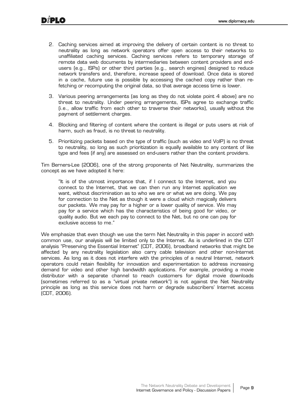- 2. Caching services aimed at improving the delivery of certain content is no threat to neutrality as long as network operators offer open access to their networks to unaffiliated caching services. Caching services refers to temporary storage of remote data web documents by intermediaries between content providers and endusers (e.g., ISPs) or other third parties (e.g., search engines) designed to reduce network transfers and, therefore, increase speed of download. Once data is stored in a cache, future use is possible by accessing the cached copy rather than refetching or recomputing the original data, so that average access time is lower.
- 3. Various peering arrangements (as long as they do not violate point 4 above) are no threat to neutrality. Under peering arrangements, ISPs agree to exchange traffic (i.e., allow traffic from each other to traverse their networks), usually without the payment of settlement charges.
- 4. Blocking and filtering of content where the content is illegal or puts users at risk of harm, such as fraud, is no threat to neutrality.
- 5. Prioritizing packets based on the type of traffic (such as video and VoIP) is no threat to neutrality, so long as such prioritization is equally available to any content of like type and fees (if any) are assessed on end-users rather than the content providers.

Tim Berners-Lee (2006), one of the strong proponents of Net Neutrality, summarizes the concept as we have adopted it here:

"It is of the utmost importance that, if I connect to the Internet, and you connect to the Internet, that we can then run any Internet application we want, without discrimination as to who we are or what we are doing. We pay for connection to the Net as though it were a cloud which magically delivers our packets. We may pay for a higher or a lower quality of service. We may pay for a service which has the characteristics of being good for video, or quality audio. But we each pay to connect to the Net, but no one can pay for exclusive access to me."

We emphasize that even though we use the term Net Neutrality in this paper in accord with common use, our analysis will be limited only to the Internet. As is underlined in the CDT analysis "Preserving the Essential Internet" (CDT, 2006), broadband networks that might be affected by any neutrality legislation also carry cable television and other non-Internet services. As long as it does not interfere with the principles of a neutral Internet, network operators could retain flexibility for innovation and experimentation to address increasing demand for video and other high bandwidth applications. For example, providing a movie distributor with a separate channel to reach customers for digital movie downloads (sometimes referred to as a "virtual private network") is not against the Net Neutrality principle as long as this service does not harm or degrade subscribers' Internet access (CDT, 2006).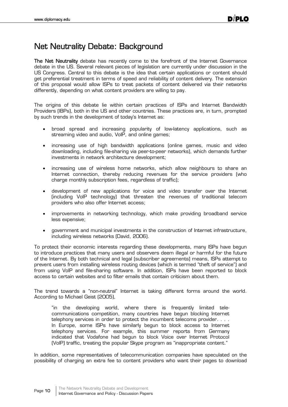## Net Neutrality Debate: Background

The Net Neutrality debate has recently come to the forefront of the Internet Governance debate in the US. Several relevant pieces of legislation are currently under discussion in the US Congress. Central to this debate is the idea that certain applications or content should get preferential treatment in terms of speed and reliability of content delivery. The extension of this proposal would allow ISPs to treat packets of content delivered via their networks differently, depending on what content providers are willing to pay.

The origins of this debate lie within certain practices of ISPs and Internet Bandwidth Providers (IBPs), both in the US and other countries. These practices are, in turn, prompted by such trends in the development of today's Internet as:

- x broad spread and increasing popularity of low-latency applications, such as streaming video and audio, VoIP, and online games;
- increasing use of high bandwidth applications (online games, music and video downloading, including file-sharing via peer-to-peer networks), which demands further investments in network architecture development;
- increasing use of wireless home networks, which allow neighbours to share an Internet connection, thereby reducing revenues for the service providers (who charge monthly subscription fees, regardless of traffic);
- development of new applications for voice and video transfer over the Internet (including VoIP technology) that threaten the revenues of traditional telecom providers who also offer Internet access;
- improvements in networking technology, which make providing broadband service less expensive;
- x government and municipal investments in the construction of Internet infrastructure, including wireless networks (David, 2006).

To protect their economic interests regarding these developments, many ISPs have begun to introduce practices that many users and observers deem illegal or harmful for the future of the Internet. By both technical and legal (subscriber agreements) means, ISPs attempt to prevent users from installing wireless routing devices (which is termed "theft of service") and from using VoIP and file-sharing software. In addition, ISPs have been reported to block access to certain websites and to filter emails that contain criticism about them.

The trend towards a "non-neutral" Internet is taking different forms around the world. According to Michael Geist (2005),

"in the developing world, where there is frequently limited telecommunications competition, many countries have begun blocking Internet telephony services in order to protect the incumbent telecoms provider. . . . In Europe, some ISPs have similarly begun to block access to Internet telephony services. For example, this summer reports from Germany indicated that Vodafone had begun to block Voice over Internet Protocol (VoIP) traffic, treating the popular Skype program as "inappropriate content."

In addition, some representatives of telecommunication companies have speculated on the possibility of charging an extra fee to content providers who want their pages to download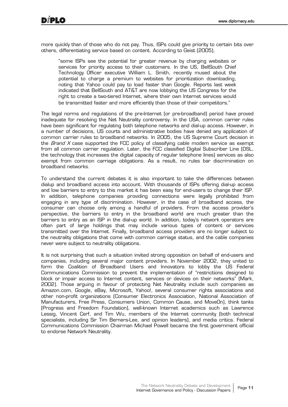more quickly than of those who do not pay. Thus, ISPs could give priority to certain bits over others, differentiating service based on content. According to Geist (2005),

"some ISPs see the potential for greater revenue by charging websites or services for priority access to their customers. In the US, BellSouth Chief Technology Officer executive William L. Smith, recently mused about the potential to charge a premium to websites for prioritization downloading, noting that Yahoo could pay to load faster than Google. Reports last week indicated that BellSouth and AT&T are now lobbying the US Congress for the right to create a two-tiered Internet, where their own Internet services would be transmitted faster and more efficiently than those of their competitors."

The legal norms and regulations of the pre-Internet (or pre-broadband) period have proved inadequate for resolving the Net Neutrality controversy. In the USA, common carrier rules have been significant for regulating both telephone networks and dial-up access. However, in a number of decisions, US courts and administrative bodies have denied any application of common carrier rules to broadband networks. In 2005, the US Supreme Court decision in the *Brand X* case supported the FCC policy of classifying cable modem service as exempt from all common carrier regulation. Later, the FCC classified Digital Subscriber Line (DSL, the technology that increases the digital capacity of regular telephone lines) services as also exempt from common carriage obligations. As a result, no rules bar discrimination on broadband networks.

To understand the current debates it is also important to take the differences between dialup and broadband access into account. With thousands of ISPs offering dial-up access and low barriers to entry to this market it has been easy for end-users to change their ISP. In addition, telephone companies providing connections were legally prohibited from engaging in any type of discrimination. However, in the case of broadband access, the consumer can choose only among a handful of providers. From the access provider's perspective, the barriers to entry in the broadband world are much greater than the barriers to entry as an ISP in the dial-up world. In addition, today's network operators are often part of large holdings that may include various types of content or services transmitted over the Internet. Finally, broadband access providers are no longer subject to the neutrality obligations that come with common carriage status, and the cable companies never were subject to neutrality obligations.

It is not surprising that such a situation invited strong opposition on behalf of end-users and companies, including several major content providers. In November 2002, they united to form the Coalition of Broadband Users and Innovators to lobby the US Federal Communications Commission to prevent the implementation of "restrictions designed to block or impair access to Internet content, services or devices on their networks" (Mark, 2002). Those arguing in favour of protecting Net Neutrality include such companies as Amazon.com, Google, eBay, Microsoft, Yahoo!, several consumer rights associations and other non-profit organizations (Consumer Electronics Association, National Association of Manufacturers, Free Press, Consumers Union, Common Cause, and MoveOn), think tanks (Progress and Freedom Foundation), well-known Internet academics such as Lawrence Lessig, Vincent Cerf, and Tim Wu, members of the Internet community (both technical specialists, including Sir Tim Berners-Lee, and opinion leaders), and media critics. Federal Communications Commission Chairman Michael Powell became the first government official to endorse Network Neutrality.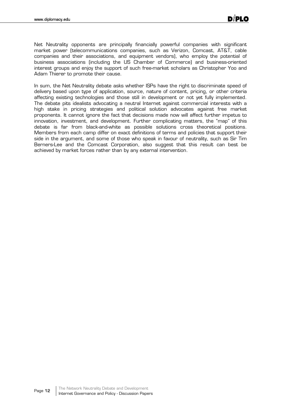Net Neutrality opponents are principally financially powerful companies with significant market power (telecommunications companies, such as Verizon, Comcast, AT&T, cable companies and their associations, and equipment vendors), who employ the potential of business associations (including the US Chamber of Commerce) and business-oriented interest groups and enjoy the support of such free-market scholars as Christopher Yoo and Adam Thierer to promote their cause.

In sum, the Net Neutrality debate asks whether ISPs have the right to discriminate speed of delivery based upon type of application, source, nature of content, pricing, or other criteria affecting existing technologies and those still in development or not yet fully implemented. The debate pits idealists advocating a neutral Internet against commercial interests with a high stake in pricing strategies and political solution advocates against free market proponents. It cannot ignore the fact that decisions made now will affect further impetus to innovation, investment, and development. Further complicating matters, the "map" of this debate is far from black-and-white as possible solutions cross theoretical positions. Members from each camp differ on exact definitions of terms and policies that support their side in the argument, and some of those who speak in favour of neutrality, such as Sir Tim Berners-Lee and the Comcast Corporation, also suggest that this result can best be achieved by market forces rather than by any external intervention.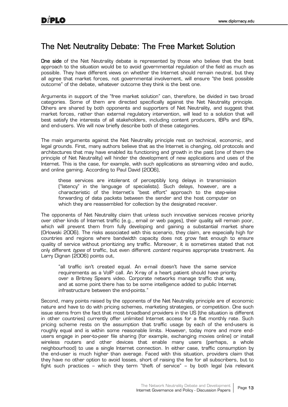## The Net Neutrality Debate: The Free Market Solution

One side of the Net Neutrality debate is represented by those who believe that the best approach to the situation would be to avoid governmental regulation of the field as much as possible. They have different views on whether the Internet should remain neutral, but they all agree that market forces, not governmental involvement, will ensure "the best possible outcome" of the debate, whatever outcome they think is the best one.

Arguments in support of the "free market solution" can, therefore, be divided in two broad categories. Some of them are directed specifically against the Net Neutrality principle. Others are shared by both opponents and supporters of Net Neutrality, and suggest that market forces, rather than external regulatory intervention, will lead to a solution that will best satisfy the interests of all stakeholders, including content producers, IBPs and ISPs, and end-users. We will now briefly describe both of these categories.

The main arguments against the Net Neutrality principle rest on technical, economic, and legal grounds. First, many authors believe that as the Internet is changing, old protocols and architectures that may have enabled its functioning and growth in the past (one of them the principle of Net Neutrality) will hinder the development of new applications and uses of the Internet. This is the case, for example, with such applications as streaming video and audio, and online gaming. According to Paul David (2006),

these services are intolerant of perceptibly long delays in transmission ("latency" in the language of specialists). Such delays, however, are a characteristic of the Internet's "best effort" approach to the step-wise forwarding of data packets between the sender and the host computer on which they are reassembled for collection by the designated receiver.

The opponents of Net Neutrality claim that unless such innovative services receive priority over other kinds of Internet traffic (e.g., email or web pages), their quality will remain poor, which will prevent them from fully developing and gaining a substantial market share (Orlowski 2006). The risks associated with this scenario, they claim, are especially high for countries and regions where bandwidth capacity does not grow fast enough to ensure quality of service without prioritizing any traffic. Moreover, it is sometimes stated that not only different types of traffic, but even different content requires appropriate treatment. As Larry Dignan (2006) points out,

"all traffic isn't created equal. An e-mail doesn't have the same service requirements as a VoIP call. An X-ray of a heart patient should have priority over a Britney Spears video. Corporate networks manage traffic that way, and at some point there has to be some intelligence added to public Internet infrastructure between the end-points."

Second, many points raised by the opponents of the Net Neutrality principle are of economic nature and have to do with pricing schemes, marketing strategies, or competition. One such issue stems from the fact that most broadband providers in the US (the situation is different in other countries) currently offer unlimited Internet access for a flat monthly rate. Such pricing scheme rests on the assumption that traffic usage by each of the end-users is roughly equal and is within some reasonable limits. However, today more and more endusers engage in peer-to-peer file sharing (for example, exchanging movies online) or install wireless routers and other devices that enable many users (perhaps, a whole neighbourhood) to use a single Internet connection. In either case, traffic consumption by the end-user is much higher than average. Faced with this situation, providers claim that they have no other option to avoid losses, short of raising the fee for all subscribers, but to fight such practices – which they term "theft of service" – by both legal (via relevant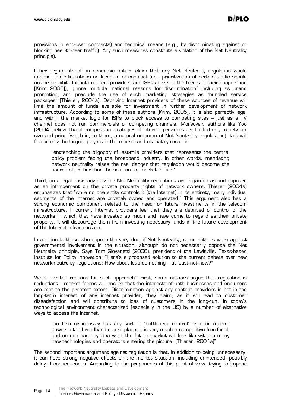provisions in end-user contracts) and technical means (e.g., by discriminating against or blocking peer-to-peer traffic). Any such measures constitute a violation of the Net Neutrality principle).

Other arguments of an economic nature claim that any Net Neutrality regulation would impose unfair limitations on freedom of contract (i.e., prioritization of certain traffic should not be prohibited if both content providers and ISPs agree on the terms of their cooperation [Krim 2005]), ignore multiple "rational reasons for discrimination" including as brand promotion, and preclude the use of such marketing strategies as "bundled service packages" (Thierer, 2004a). Depriving Internet providers of these sources of revenue will limit the amount of funds available for investment in further development of network infrastructure. According to some of these authors (Krim, 2005), it is also perfectly legal and within the market logic for ISPs to block access to competing sites – just as a TV channel does not run commercials of competing channels. Moreover, authors like Yoo (2004) believe that if competition strategies of internet providers are limited only to network size and price (which is, to them, a natural outcome of Net Neutrality regulations), this will favour only the largest players in the market and ultimately result in

"entrenching the oligopoly of last-mile providers that represents the central policy problem facing the broadband industry. In other words, mandating network neutrality raises the real danger that regulation would become the source of, rather than the solution to, market failure."

Third, on a legal basis any possible Net Neutrality regulations are regarded as and opposed as an infringement on the private property rights of network owners. Thierer (2004a) emphasizes that "while no one entity controls it [the Internet] in its entirety, many individual segments of the Internet are privately owned and operated." This argument also has a strong economic component related to the need for future investments in the telecom infrastructure. If current Internet providers feel that they are deprived of control of the networks in which they have invested so much and have come to regard as their private property, it will discourage them from investing necessary funds in the future development of the Internet infrastructure.

In addition to those who oppose the very idea of Net Neutrality, some authors warn against governmental involvement in the situation, although do not necessarily oppose the Net Neutrality principle. Says Tom Giovanetti (2006), president of the Lewisville, Texas-based Institute for Policy Innovation: "Here's a proposed solution to the current debate over new network-neutrality regulations: How about let's do nothing – at least not now?"

What are the reasons for such approach? First, some authors argue that regulation is redundant – market forces will ensure that the interests of both businesses and end-users are met to the greatest extent. Discrimination against any content providers is not in the long-term interest of any internet provider, they claim, as it will lead to customer dissatisfaction and will contribute to loss of customers in the long-run. In today's technological environment characterized (especially in the US) by a number of alternative ways to access the Internet,

"no firm or industry has any sort of "bottleneck control" over or market power in the broadband marketplace; it is very much a competitive free-for-all, and no one has any idea what the future market will look like with so many new technologies and operators entering the picture. (Thierer, 2004a)"

The second important argument against regulation is that, in addition to being unnecessary, it can have strong negative effects on the market situation, including unintended, possibly delayed consequences. According to the proponents of this point of view, trying to impose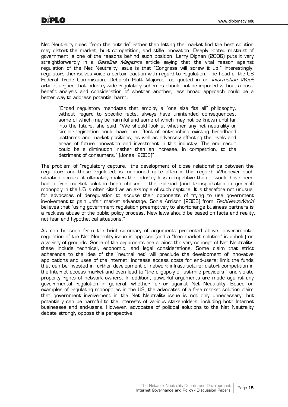Net Neutrality rules "from the outside" rather than letting the market find the best solution may distort the market, hurt competition, and stifle innovation. Deeply rooted mistrust of government is one of the reasons behind such position. Larry Dignan (2006) puts it very straightforwardly in a *Baseline Magazine* article saying that the vital reason against regulation of the Net Neutrality issue is that "Congress will screw it up." Interestingly, regulators themselves voice a certain caution with regard to regulation. The head of the US Federal Trade Commission, Deborah Platt Majoras, as quoted in an *Information Week* article, argued that industry-wide regulatory schemes should not be imposed without a costbenefit analysis and consideration of whether another, less broad approach could be a better way to address potential harm.

"Broad regulatory mandates that employ a "one size fits all" philosophy, without regard to specific facts, always have unintended consequences, some of which may be harmful and some of which may not be known until far into the future, she said. "We should look at whether any net neutrality or similar legislation could have the effect of entrenching existing broadband platforms and market positions, as well as adversely affecting the levels and areas of future innovation and investment in this industry. The end result could be a diminution, rather than an increase, in competition, to the detriment of consumers." (Jones, 2006)"

The problem of "regulatory capture," the development of close relationships between the regulators and those regulated, is mentioned quite often in this regard. Whenever such situation occurs, it ultimately makes the industry less competitive than it would have been had a free market solution been chosen – the railroad (and transportation in general) monopoly in the US is often cited as an example of such capture. It is therefore not unusual for advocates of deregulation to accuse their opponents of trying to use government involvement to gain unfair market advantage. Sonia Arrison (2006) from TechNewsWorld believes that "using government regulation preemptively to shortchange business partners is a reckless abuse of the public policy process. New laws should be based on facts and reality, not fear and hypothetical situations."

As can be seen from the brief summary of arguments presented above, governmental regulation of the Net Neutrality issue is opposed (and a "free market solution" is upheld) on a variety of grounds. Some of the arguments are against the very concept of Net Neutrality: these include technical, economic, and legal considerations. Some claim that strict adherence to the idea of the "neutral net" will preclude the development of innovative applications and uses of the Internet; increase access costs for end-users; limit the funds that can be invested in further development of network infrastructure; distort competition in the Internet access market and even lead to "the oligopoly of last-mile providers;" and violate property rights of network owners. In addition, powerful arguments are made against any governmental regulation in general, whether for or against Net Neutrality. Based on examples of regulating monopolies in the US, the advocates of a free market solution claim that government involvement in the Net Neutrality issue is not only unnecessary, but potentially can be harmful to the interests of various stakeholders, including both Internet businesses and end-users. However, advocates of political solutions to the Net Neutrality debate strongly oppose this perspective.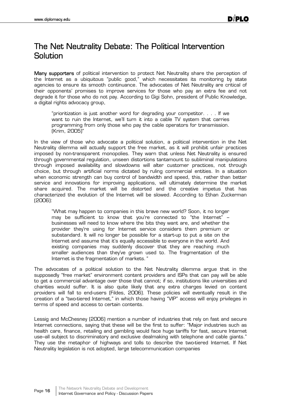## The Net Neutrality Debate: The Political Intervention Solution

Many supporters of political intervention to protect Net Neutrality share the perception of the Internet as a ubiquitous "public good," which necessitates its monitoring by state agencies to ensure its smooth continuance. The advocates of Net Neutrality are critical of their opponents' promises to improve services for those who pay an extra fee and not degrade it for those who do not pay. According to Gigi Sohn, president of Public Knowledge, a digital rights advocacy group,

"prioritization is just another word for degrading your competitor. . . . If we want to ruin the Internet, we'll turn it into a cable TV system that carries programming from only those who pay the cable operators for transmission. (Krim, 2005)"

In the view of those who advocate a political solution, a political intervention in the Net Neutrality dilemma will actually support the free market, as it will prohibit unfair practices imposed by non-transparent monopolies. They warn that unless Net Neutrality is ensured through governmental regulation, unseen distortions tantamount to subliminal manipulations through imposed availability and slowdowns will alter customer practices, not through choice, but through artificial norms dictated by ruling commercial entities. In a situation when economic strength can buy control of bandwidth and speed, this, rather than better service and innovations for improving applications, will ultimately determine the market share acquired. The market will be distorted and the creative impetus that has characterized the evolution of the Internet will be slowed. According to Ethan Zuckerman (2006):

"What may happen to companies in this brave new world? Soon, it no longer may be sufficient to know that you're connected to "the Internet" – businesses will need to know where the bits they want are, and whether the provider they're using for Internet service considers them premium or substandard. It will no longer be possible for a start-up to put a site on the Internet and assume that it's equally accessible to everyone in the world. And existing companies may suddenly discover that they are reaching much smaller audiences than they've grown used to. The fragmentation of the Internet is the fragmentation of markets. "

The advocates of a political solution to the Net Neutrality dilemma argue that in the supposedly "free market" environment content providers and ISPs that can pay will be able to get a commercial advantage over those that cannot; if so, institutions like universities and charities would suffer. It is also quite likely that any extra charges levied on content providers will fall to end-users (Fildes, 2006). These policies will eventually result in the creation of a "two-tiered Internet," in which those having "VIP" access will enjoy privileges in terms of speed and access to certain contents.

Lessig and McChesney (2006) mention a number of industries that rely on fast and secure Internet connections, saying that these will be the first to suffer: "Major industries such as health care, finance, retailing and gambling would face huge tariffs for fast, secure Internet use-all subject to discriminatory and exclusive dealmaking with telephone and cable giants." They use the metaphor of highways and tolls to describe the two-tiered Internet. If Net Neutrality legislation is not adopted, large telecommunication companies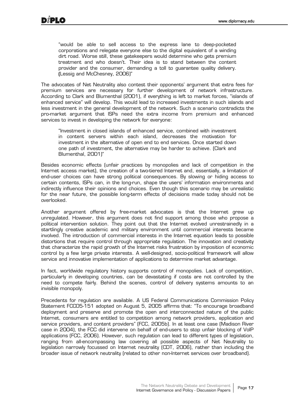"would be able to sell access to the express lane to deep-pocketed corporations and relegate everyone else to the digital equivalent of a winding dirt road. Worse still, these gatekeepers would determine who gets premium treatment and who doesn't. Their idea is to stand between the content provider and the consumer, demanding a toll to guarantee quality delivery. (Lessig and McChesney, 2006)"

The advocates of Net Neutrality also contest their opponents' argument that extra fees for premium services are necessary for further development of network infrastructure. According to Clark and Blumenthal (2001), if everything is left to market forces, "islands of enhanced service" will develop. This would lead to increased investments in such islands and less investment in the general development of the network. Such a scenario contradicts the pro-market argument that ISPs need the extra income from premium and enhanced services to invest in developing the network for everyone:

"Investment in closed islands of enhanced service, combined with investment in content servers within each island, decreases the motivation for investment in the alternative of open end to end services. Once started down one path of investment, the alternative may be harder to achieve. (Clark and Blumenthal, 2001)"

Besides economic effects (unfair practices by monopolies and lack of competition in the Internet access market), the creation of a two-tiered Internet and, essentially, a limitation of end-user choices can have strong political consequences. By slowing or hiding access to certain contents, ISPs can, in the long-run, shape the users' information environments and indirectly influence their opinions and choices. Even though this scenario may be unrealistic for the near future, the possible long-term effects of decisions made today should not be overlooked.

Another argument offered by free-market advocates is that the Internet grew up unregulated. However, this argument does not find support among those who propose a political intervention solution. They point out that the Internet evolved unrestrainedly in a startlingly creative academic and military environment until commercial interests became involved. The introduction of commercial interests in the Internet equation leads to possible distortions that require control through appropriate regulation. The innovation and creativity that characterize the rapid growth of the Internet risks frustration by imposition of economic control by a few large private interests. A well-designed, socio-political framework will allow service and innovative implementation of applications to determine market advantage.

In fact, worldwide regulatory history supports control of monopolies. Lack of competition, particularly in developing countries, can be devastating if costs are not controlled by the need to compete fairly. Behind the scenes, control of delivery systems amounts to an invisible monopoly.

Precedents for regulation are available. A US Federal Communications Commission Policy Statement FCC05-151 adopted on August 5, 2005 affirms that: "To encourage broadband deployment and preserve and promote the open and interconnected nature of the public Internet, consumers are entitled to competition among network providers, application and service providers, and content providers" (FCC, 2005b). In at least one case (Madison River case in 2004), the FCC did intervene on behalf of end-users to stop unfair blocking of VoIP applications (FCC, 2006). However, such regulation can lead to different types of legislation, ranging from all-encompassing law covering all possible aspects of Net Neutrality to legislation narrowly focussed on Internet neutrality (CDT, 2006), rather than including the broader issue of network neutrality (related to other non-Internet services over broadband).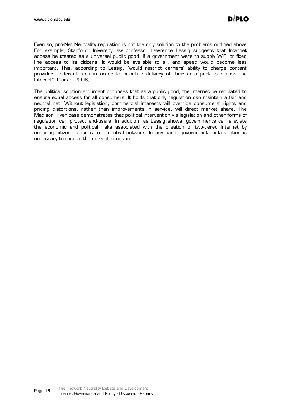Even so, pro-Net Neutrality regulation is not the only solution to the problems outlined above. For example, Stanford University law professor Lawrence Lessig suggests that Internet access be treated as a universal public good: if a government were to supply WiFi or fixed line access to its citizens, it would be available to all, and speed would become less important. This, according to Lessig, "would restrict carriers' ability to charge content providers different fees in order to prioritize delivery of their data packets across the Internet" (Clarke, 2006).

The political solution argument proposes that as a public good, the Internet be regulated to ensure equal access for all consumers. It holds that only regulation can maintain a fair and neutral net. Without legislation, commercial interests will override consumers' rights and pricing distortions, rather than improvements in service, will direct market share. The Madison River case demonstrates that political intervention via legislation and other forms of regulation can protect end-users. In addition, as Lessig shows, governments can alleviate the economic and political risks associated with the creation of two-tiered Internet by ensuring citizens' access to a neutral network. In any case, governmental intervention is necessary to resolve the current situation.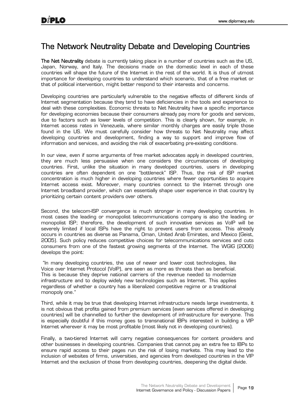## The Network Neutrality Debate and Developing Countries

The Net Neutrality debate is currently taking place in a number of countries such as the US. Japan, Norway, and Italy. The decisions made on the domestic level in each of these countries will shape the future of the Internet in the rest of the world. It is thus of utmost importance for developing countries to understand which scenario, that of a free market or that of political intervention, might better respond to their interests and concerns.

Developing countries are particularly vulnerable to the negative effects of different kinds of Internet segmentation because they tend to have deficiencies in the tools and experience to deal with these complexities. Economic threats to Net Neutrality have a specific importance for developing economies because their consumers already pay more for goods and services, due to factors such as lower levels of competition. This is clearly shown, for example, in Internet access rates in Venezuela, where similar monthly charges are easily triple those found in the US. We must carefully consider how threats to Net Neutrality may affect developing countries and development, finding a way to support and improve flow of information and services, and avoiding the risk of exacerbating pre-existing conditions.

In our view, even if some arguments of free market advocates apply in developed countries, they are much less persuasive when one considers the circumstances of developing countries. First, unlike the situation in many developed countries, users in developing countries are often dependent on one "bottleneck" ISP. Thus, the risk of ISP market concentration is much higher in developing countries where fewer opportunities to acquire Internet access exist. Moreover, many countries connect to the Internet through one Internet broadband provider, which can essentially shape user experience in that country by prioritizing certain content providers over others.

Second, the telecom-ISP convergence is much stronger in many developing countries. In most cases the leading or monopolist telecommunications company is also the leading or monopolist ISP; therefore, the development of such innovative services as VoIP will be severely limited if local ISPs have the right to prevent users from access. This already occurs in countries as diverse as Panama, Oman, United Arab Emirates, and Mexico (Geist, 2005). Such policy reduces competitive choices for telecommunications services and cuts consumers from one of the fastest growing segments of the Internet. The WGIG (2006) develops the point:

 "In many developing countries, the use of newer and lower cost technologies, like Voice over Internet Protocol (VoIP), are seen as more as threats than as beneficial. This is because they deprive national carriers of the revenue needed to modernize infrastructure and to deploy widely new technologies such as Internet. This applies regardless of whether a country has a liberalized competitive regime or a traditional monopoly one."

Third, while it may be true that developing Internet infrastructure needs large investments, it is not obvious that profits gained from premium services (even services offered in developing countries) will be channelled to further the development of infrastructure for everyone. This is especially doubtful if this money goes to transnational IBPs interested in building a VIP Internet wherever it may be most profitable (most likely not in developing countries).

Finally, a two-tiered Internet will carry negative consequences for content providers and other businesses in developing countries. Companies that cannot pay an extra fee to IBPs to ensure rapid access to their pages run the risk of losing markets. This may lead to the inclusion of websites of firms, universities, and agencies from developed countries in the VIP Internet and the exclusion of those from developing countries, deepening the digital divide.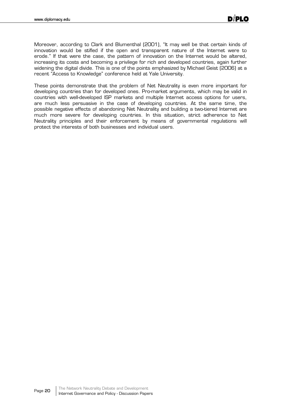Moreover, according to Clark and Blumenthal (2001), "It may well be that certain kinds of innovation would be stifled if the open and transparent nature of the Internet were to erode." If that were the case, the pattern of innovation on the Internet would be altered, increasing its costs and becoming a privilege for rich and developed countries, again further widening the digital divide. This is one of the points emphasized by Michael Geist (2006) at a recent "Access to Knowledge" conference held at Yale University.

These points demonstrate that the problem of Net Neutrality is even more important for developing countries than for developed ones. Pro-market arguments, which may be valid in countries with well-developed ISP markets and multiple Internet access options for users, are much less persuasive in the case of developing countries. At the same time, the possible negative effects of abandoning Net Neutrality and building a two-tiered Internet are much more severe for developing countries. In this situation, strict adherence to Net Neutrality principles and their enforcement by means of governmental regulations will protect the interests of both businesses and individual users.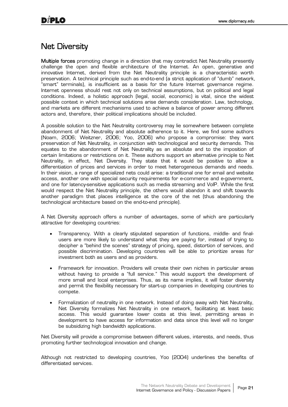#### Net Diversity

Multiple forces promoting change in a direction that may contradict Net Neutrality presently challenge the open and flexible architecture of the Internet. An open, generative and innovative Internet, derived from the Net Neutrality principle is a characteristic worth preservation. A technical principle such as end-to-end (a strict application of "dumb" network, "smart" terminals), is insufficient as a basis for the future Internet governance regime. Internet openness should rest not only on technical assumptions, but on political and legal conditions. Indeed, a holistic approach (legal, social, economic) is vital, since the widest possible context in which technical solutions arise demands consideration. Law, technology, and markets are different mechanisms used to achieve a balance of power among different actors and, therefore, their political implications should be included.

A possible solution to the Net Neutrality controversy may lie somewhere between complete abandonment of Net Neutrality and absolute adherence to it. Here, we find some authors (Noam, 2006; Weitzner, 2006; Yoo, 2006) who propose a compromise: they want preservation of Net Neutrality, in conjunction with technological and security demands. This equates to the abandonment of Net Neutrality as an absolute and to the imposition of certain limitations or restrictions on it. These authors support an alternative principle to Net Neutrality, in effect, Net Diversity. They state that it would be positive to allow a differentiation of prices and services in order to meet heterogeneous demands and needs. In their vision, a range of specialized nets could arise: a traditional one for email and website access, another one with special security requirements for e-commerce and e-government, and one for latency-sensitive applications such as media streaming and VoIP. While the first would respect the Net Neutrality principle, the others would abandon it and shift towards another paradigm that places intelligence at the core of the net (thus abandoning the technological architecture based on the end-to-end principle).

A Net Diversity approach offers a number of advantages, some of which are particularly attractive for developing countries:

- x Transparency. With a clearly stipulated separation of functions, middle- and finalusers are more likely to understand what they are paying for, instead of trying to decipher a "behind the scenes" strategy of pricing, speed, distortion of services, and possible discrimination. Developing countries will be able to prioritize areas for investment both as users and as providers.
- Framework for innovation. Providers will create their own niches in particular areas without having to provide a "full service." This would support the development of more small and local enterprises. Thus, as its name implies, it will foster diversity and permit the flexibility necessary for start-up companies in developing countries to compete.
- Formalization of neutrality in one network. Instead of doing away with Net Neutrality, Net Diversity formalizes Net Neutrality in one network, facilitating at least basic access. This would guarantee lower costs at this level, permitting areas in development to have access for information and data since this level will no longer be subsidizing high bandwidth applications.

Net Diversity will provide a compromise between different values, interests, and needs, thus promoting further technological innovation and change.

Although not restricted to developing countries, Yoo (2004) underlines the benefits of differentiated services.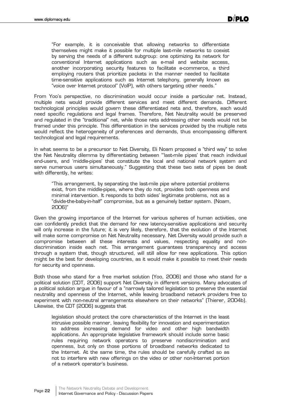"For example, it is conceivable that allowing networks to differentiate themselves might make it possible for multiple last-mile networks to coexist by serving the needs of a different subgroup: one optimizing its network for conventional Internet applications such as e-mail and website access, another incorporating security features to facilitate e-commerce, a third employing routers that prioritize packets in the manner needed to facilitate time-sensitive applications such as Internet telephony, generally known as "voice over Internet protocol" (VoIP), with others targeting other needs."

From Yoo's perspective, no discrimination would occur inside a particular net. Instead, multiple nets would provide different services and meet different demands. Different technological principles would govern these differentiated nets and, therefore, each would need specific regulations and legal frames. Therefore, Net Neutrality would be preserved and regulated in the "traditional" net, while those nets addressing other needs would not be framed under this principle. This differentiation in the services provided by the multiple nets would reflect the heterogeneity of preferences and demands, thus encompassing different technological and legal requirements.

In what seems to be a precursor to Net Diversity, Eli Noam proposed a "third way" to solve the Net Neutrality dilemma by differentiating between "'last-mile pipes' that reach individual end-users, and 'middle-pipes' that constitute the local and national network system and serve numerous users simultaneously." Suggesting that these two sets of pipes be dealt with differently, he writes:

"This arrangement, by separating the last-mile pipe where potential problems exist, from the middle-pipes, where they do not, provides both openness and minimal intervention. It responds to both sides' legitimate problems, not as a "divide-the-baby-in-half" compromise, but as a genuinely better system. (Noam, 2006)"

Given the growing importance of the Internet for various spheres of human activities, one can confidently predict that the demand for new latency-sensitive applications and security will only increase in the future; it is very likely, therefore, that the evolution of the Internet will make some compromise on Net Neutrality necessary. Net Diversity would provide such a compromise between all these interests and values, respecting equality and nondiscrimination inside each net. This arrangement guarantees transparency and access through a system that, though structured, will still allow for new applications. This option might be the best for developing countries, as it would make it possible to meet their needs for security and openness.

Both those who stand for a free market solution (Yoo, 2006) and those who stand for a political solution (CDT, 2006) support Net Diversity in different versions. Many advocates of a political solution argue in favour of a "narrowly tailored legislation to preserve the essential neutrality and openness of the Internet, while leaving broadband network providers free to experiment with non-neutral arrangements elsewhere on their networks" (Thierer, 2004b). Likewise, the CDT (2006) suggests that

legislation should protect the core characteristics of the Internet in the least intrusive possible manner, leaving flexibility for innovation and experimentation to address increasing demand for video and other high bandwidth applications. An appropriate legislative framework should include some basic rules requiring network operators to preserve nondiscrimination and openness, but only on those portions of broadband networks dedicated to the Internet. At the same time, the rules should be carefully crafted so as not to interfere with new offerings on the video or other non-Internet portion of a network operator's business.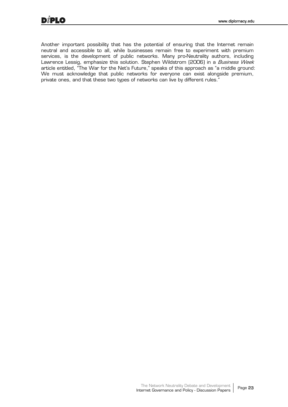Another important possibility that has the potential of ensuring that the Internet remain neutral and accessible to all, while businesses remain free to experiment with premium services, is the development of public networks. Many pro-Neutrality authors, including Lawrence Lessig, emphasize this solution. Stephen Wildstrom (2006) in a *Business Week* article entitled, "The War for the Net's Future," speaks of this approach as "a middle ground: We must acknowledge that public networks for everyone can exist alongside premium, private ones, and that these two types of networks can live by different rules."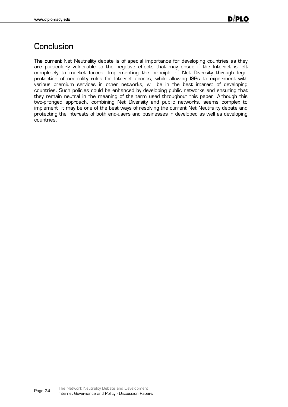## **Conclusion**

The current Net Neutrality debate is of special importance for developing countries as they are particularly vulnerable to the negative effects that may ensue if the Internet is left completely to market forces. Implementing the principle of Net Diversity through legal protection of neutrality rules for Internet access, while allowing ISPs to experiment with various premium services in other networks, will be in the best interest of developing countries. Such policies could be enhanced by developing public networks and ensuring that they remain neutral in the meaning of the term used throughout this paper. Although this two-pronged approach, combining Net Diversity and public networks, seems complex to implement, it may be one of the best ways of resolving the current Net Neutrality debate and protecting the interests of both end-users and businesses in developed as well as developing countries.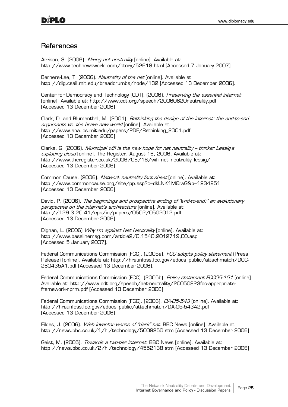#### **References**

Arrison, S. (2006). Nixing net neutrality [online]. Available at: http://www.technewsworld.com/story/52618.html [Accessed 7 January 2007].

Berners-Lee, T. (2006). Neutrality of the net [online]. Available at: http://dig.csail.mit.edu/breadcrumbs/node/132 [Accessed 13 December 2006].

Center for Democracy and Technology [CDT]. (2006). Preserving the essential internet [online]. Available at: http://www.cdt.org/speech/20060620neutrality.pdf [Accessed 13 December 2006].

Clark, D. and Blumenthal, M. (2001). *Rethinking the design of the internet: the end-to-end* arguments vs. the brave new world [online]. Available at: http://www.ana.lcs.mit.edu/papers/PDF/Rethinking\_2001.pdf [Accessed 13 December 2006].

Clarke, G. (2006). Municipal wifi is the new hope for net neutrality - thinker Lessig's exploding cloud [online]. The Register, August 16, 2006. Available at: http://www.theregister.co.uk/2006/08/16/wifi\_net\_neutrality\_lessig/ [Accessed 13 December 2006].

Common Cause. (2006). Network neutrality fact sheet [online]. Available at: http://www.commoncause.org/site/pp.asp?c=dkLNK1MQIwG&b=1234951 [Accessed 13 December 2006].

David, P. (2006). The beginnings and prospective ending of "end-to-end:" an evolutionary perspective on the internet's architecture [online]. Available at: http://129.3.20.41/eps/io/papers/0502/0502012.pdf [Accessed 13 December 2006].

Dignan, L. (2006) *Why I'm against Net Neutrality* [online]. Available at: http://www.baselinemag.com/article2/0,1540,2012719,00.asp [Accessed 5 January 2007].

Federal Communications Commission [FCC]. (2005a). FCC adopts policy statement (Press Release) [online]. Available at: http://hraunfoss.fcc.gov/edocs\_public/attachmatch/DOC-260435A1.pdf [Accessed 13 December 2006].

Federal Communications Commission [FCC]. (2005b). *Policy statement FCC05-151* [online]. Available at: http://www.cdt.org/speech/net-neutrality/20050923fcc-appropriateframework-nprm.pdf [Accessed 13 December 2006].

Federal Communications Commission [FCC]. (2006). *DA-05-543* [online]. Available at: http://hraunfoss.fcc.gov/edocs\_public/attachmatch/DA-05-543A2.pdf [Accessed 13 December 2006].

Fildes, J. (2006). Web inventor warns of "dark" net. BBC News [online]. Available at: http://news.bbc.co.uk/1/hi/technology/5009250.stm [Accessed 13 December 2006].

Geist, M. (2005). *Towards a two-tier internet*. BBC News [online]. Available at: http://news.bbc.co.uk/2/hi/technology/4552138.stm [Accessed 13 December 2006].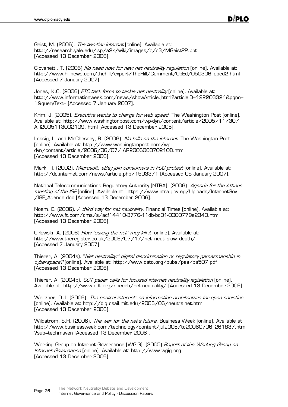Geist, M. (2006). The two-tier internet [online]. Available at: http://research.yale.edu/isp/a2k/wiki/images/c/c3/MGeistPP.ppt [Accessed 13 December 2006].

Giovanetti, T. (2006) No need now for new net neutrality regulation [online]. Available at: http://www.hillnews.com/thehill/export/TheHill/Comment/OpEd/050306\_oped2.html [Accessed 7 January 2007].

Jones, K.C. (2006) FTC task force to tackle net neutrality [online]. Available at: http://www.informationweek.com/news/showArticle.jhtml?articleID=192203324&pgno= 1&queryText= [Accessed 7 January 2007].

Krim, J. (2005). *Executive wants to charge for web speed*. The Washington Post [online]. Available at: http://www.washingtonpost.com/wp-dyn/content/article/2005/11/30/ AR2005113002109. html [Accessed 13 December 2006].

Lessig, L. and McChesney, R. (2006). No tolls on the internet. The Washington Post [online]. Available at: http://www.washingtonpost.com/wpdyn/content/article/2006/06/07/ AR2006060702108.html [Accessed 13 December 2006].

Mark, R. (2002). *Microsoft, eBay join consumers in FCC protest* [online]. Available at: http://dc.internet.com/news/article.php/1503371 [Accessed 05 January 2007].

National Telecommunications Regulatory Authority [NTRA]. (2006). Agenda for the Athens meeting of the IGF [online]. Available at: https://www.ntra.gov.eg/Uploads/InternetGov /IGF\_Agenda.doc [Accessed 13 December 2006].

Noam, E. (2006). *A third way for net neutrality*. Financial Times [online]. Available at: http://www.ft.com/cms/s/acf14410-3776-11db-bc01-0000779e2340.html [Accessed 13 December 2006].

Orlowski, A. (2006) How "saving the net" may kill it [online]. Available at: http://www.theregister.co.uk/2006/07/17/net\_neut\_slow\_death/ [Accessed 7 January 2007].

Thierer, A. (2004a). "Net neutrality:" digital discrimination or regulatory gamesmanship in cyberspace? [online]. Available at: http://www.cato.org/pubs/pas/pa507.pdf [Accessed 13 December 2006].

Thierer, A. (2004b). CDT paper calls for focused internet neutrality legislation [online]. Available at: http://www.cdt.org/speech/net-neutrality/ [Accessed 13 December 2006].

Weitzner, D.J. (2006). The neutral internet: an information architecture for open societies [online]. Available at: http://dig.csail.mit.edu/2006/06/neutralnet.html [Accessed 13 December 2006].

Wildstrom, S.H. (2006). The war for the net's future. Business Week [online]. Available at: http://www.businessweek.com/technology/content/jul2006/tc20060706\_261837.htm ?sub=techmaven [Accessed 13 December 2006].

Working Group on Internet Governance [WGIG]. (2005) Report of the Working Group on Internet Governance [online]. Available at: http://www.wgig.org [Accessed 13 December 2006].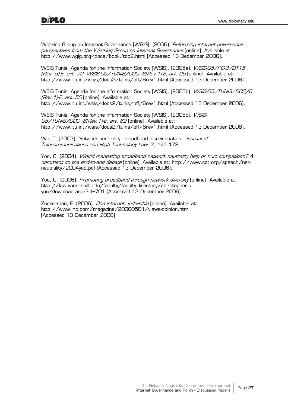Working Group on Internet Governance [WGIG]. (2006). *Reforming internet governance:* perspectives from the Working Group on Internet Governance [online]. Available at: http://www.wgig.org/docs/book/toc2.html [Accessed 13 December 2006].

WSIS Tunis. Agenda for the Information Society [WSIS]. (2005a). WSIS-05/PC-3/DT15 (Rev. 5)-E, art. 72; WSIS-05/TUNIS/DOC/6(Rev. 1)-E, art. 29 [online]. Available at: http://www.itu.int/wsis/docs2/tunis/off/6rev1.html [Accessed 13 December 2006].

WSIS Tunis. Agenda for the Information Society [WSIS]. (2005b). WSIS-05/TUNIS/DOC/6 (Rev. 1)-E, art. 50 [online]. Available at: http://www.itu.int/wsis/docs2/tunis/off/6rev1.html [Accessed 13 December 2006].

WSIS Tunis. Agenda for the Information Society [WSIS]. (2005c). *WSIS-*05/TUNIS/DOC/6(Rev.1)-E, art. 62 [online]. Available at: http://www.itu.int/wsis/docs2/tunis/off/6rev1.html [Accessed 13 December 2006].

Wu, T. (2003). Network neutrality, broadband discrimination. Journal of Telecommunications and High Technology Law, 2, 141-178.

Yoo, C. (2004). Would mandating broadband network neutrality help or hurt competition? A comment on the end-to-end debate [online]. Available at: http://www.cdt.org/speech/netneutrality/2004yoo.pdf [Accessed 13 December 2006].

Yoo, C. (2006). *Promoting broadband through network diversity* [online]. Available at: http://law.vanderbilt.edu/faculty/faculty-directory/christopher-syoo/download.aspx?id=701 [Accessed 13 December 2006].

Zuckerman, E. (2006). One internet, indivisible [online]. Available at: http://www.inc.com/magazine/20060501/views-opinion.html [Accessed 13 December 2006].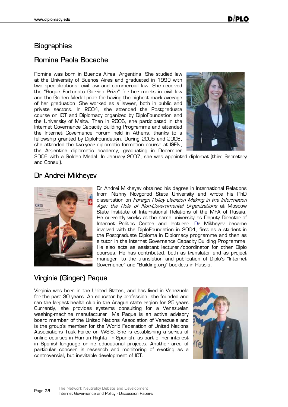#### **Biographies**

#### Romina Paola Bocache

Romina was born in Buenos Aires, Argentina. She studied law at the University of Buenos Aires and graduated in 1999 with two specializations: civil law and commercial law. She received the "Roque Fortunato Garrido Prize" for her marks in civil law and the Golden Medal prize for having the highest mark average of her graduation. She worked as a lawyer, both in public and private sectors. In 2004, she attended the Postgraduate course on ICT and Diplomacy organized by DiploFoundation and the University of Malta. Then in 2006, she participated in the Internet Governance Capacity Building Programme and attended the Internet Governance Forum held in Athens, thanks to a fellowship granted by DiploFoundation. During 2005 and 2006, she attended the two-year diplomatic formation course at ISEN, the Argentine diplomatic academy, graduating in December



2006 with a Golden Medal. In January 2007, she was appointed diplomat (third Secretary and Consul).

#### Dr Andrei Mikheyev



Dr Andrei Mikheyev obtained his degree in International Relations from Nizhny Novgorod State University and wrote his PhD dissertation on Foreign Policy Decision Making in the Information Age: the Role of Non-Governmental Organizations at Moscow State Institute of International Relations of the MFA of Russia. He currently works at the same university as Deputy Director of Internet Politics Centre and lecturer. Dr Mikheyev became involved with the DiploFoundation in 2004, first as a student in the Postgraduate Diploma in Diplomacy programme and then as a tutor in the Internet Governance Capacity Building Programme. He also acts as assistant lecturer/coordinator for other Diplo courses. He has contributed, both as translator and as project manager, to the translation and publication of Diplo's "Internet Governance" and "Building.org" booklets in Russia.

#### Virginia (Ginger) Paque

Virginia was born in the United States, and has lived in Venezuela for the past 30 years. An educator by profession, she founded and ran the largest health club in the Aragua state region for 25 years. Currently, she provides systems consulting for a Venezuelan washing-machine manufacturer. Ms Paque is an active advisory board member of the United Nations Association of Venezuela and is the group's member for the World Federation of United Nations Associations Task Force on WSIS. She is establishing a series of online courses in Human Rights, in Spanish, as part of her interest in Spanish-language online educational projects. Another area of particular concern is research and monitoring of e-voting as a controversial, but inevitable development of ICT.